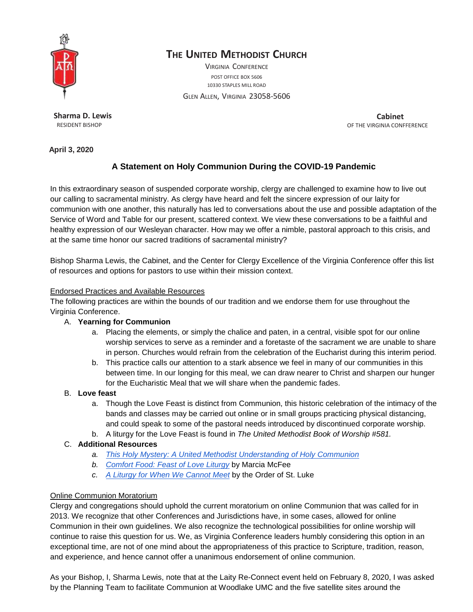

# **THE UNITED METHODIST CHURCH**

VIRGINIA CONFERENCE POST OFFICE BOX 5606 10330 STAPLES MILL ROAD

GLEN ALLEN, VIRGINIA 23058-5606

**Sharma D. Lewis** RESIDENT BISHOP

**Cabinet**  OF THE VIRGINIA CONFFERENCE

**April 3, 2020**

## **A Statement on Holy Communion During the COVID-19 Pandemic**

In this extraordinary season of suspended corporate worship, clergy are challenged to examine how to live out our calling to sacramental ministry. As clergy have heard and felt the sincere expression of our laity for communion with one another, this naturally has led to conversations about the use and possible adaptation of the Service of Word and Table for our present, scattered context. We view these conversations to be a faithful and healthy expression of our Wesleyan character. How may we offer a nimble, pastoral approach to this crisis, and at the same time honor our sacred traditions of sacramental ministry?

Bishop Sharma Lewis, the Cabinet, and the Center for Clergy Excellence of the Virginia Conference offer this list of resources and options for pastors to use within their mission context.

#### Endorsed Practices and Available Resources

The following practices are within the bounds of our tradition and we endorse them for use throughout the Virginia Conference.

#### A. **Yearning for Communion**

- a. Placing the elements, or simply the chalice and paten, in a central, visible spot for our online worship services to serve as a reminder and a foretaste of the sacrament we are unable to share in person. Churches would refrain from the celebration of the Eucharist during this interim period.
- b. This practice calls our attention to a stark absence we feel in many of our communities in this between time. In our longing for this meal, we can draw nearer to Christ and sharpen our hunger for the Eucharistic Meal that we will share when the pandemic fades.

#### B. **Love feast**

- a. Though the Love Feast is distinct from Communion, this historic celebration of the intimacy of the bands and classes may be carried out online or in small groups practicing physical distancing, and could speak to some of the pastoral needs introduced by discontinued corporate worship.
- b. A liturgy for the Love Feast is found in *The United Methodist Book of Worship #581.*

#### C. **Additional Resources**

- *a. This Holy [Mystery:](https://www.umcdiscipleship.org/resources/this-holy-mystery-a-united-methodist-understanding-of-holy-communion) A United Methodist [Understanding](https://www.umcdiscipleship.org/resources/this-holy-mystery-a-united-methodist-understanding-of-holy-communion) of Holy Communion*
- *b. [Comfort](https://8nowrnqx.pages.infusionsoft.net/?inf_contact_key=97602fc48dd4b0687ada26058fb1f69c680f8914173f9191b1c0223e68310bb1) Food: Feast of Love Liturgy* by Marcia McFee
- *c. A Liturgy for When We [Cannot](https://s3.us-east-1.amazonaws.com/gbod-assets/generic/A-Liturgy-for-When-We-Cannot-Meet.pdf) Meet* by the Order of St. Luke

### Online Communion Moratorium

Clergy and congregations should uphold the current moratorium on online Communion that was called for in 2013. We recognize that other Conferences and Jurisdictions have, in some cases, allowed for online Communion in their own guidelines. We also recognize the technological possibilities for online worship will continue to raise this question for us. We, as Virginia Conference leaders humbly considering this option in an exceptional time, are not of one mind about the appropriateness of this practice to Scripture, tradition, reason, and experience, and hence cannot offer a unanimous endorsement of online communion.

As your Bishop, I, Sharma Lewis, note that at the Laity Re-Connect event held on February 8, 2020, I was asked by the Planning Team to facilitate Communion at Woodlake UMC and the five satellite sites around the